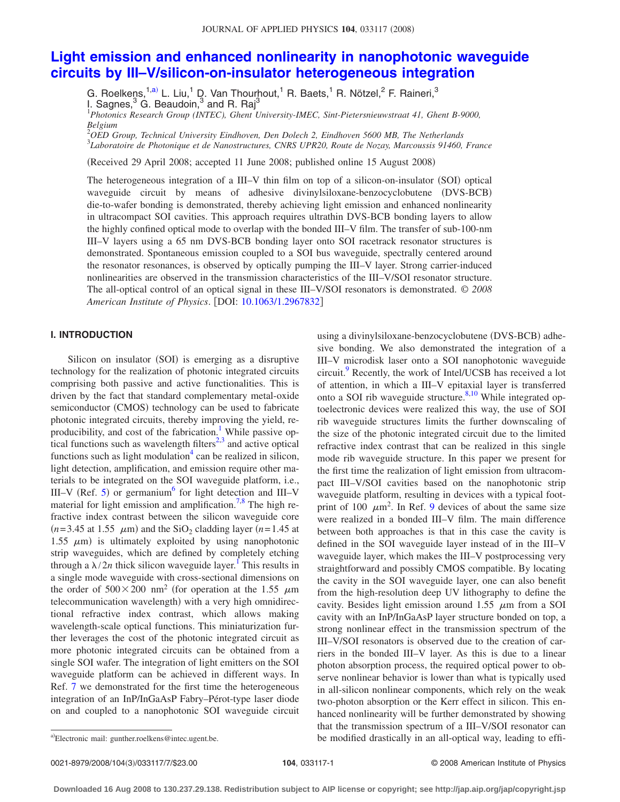# **[Light emission and enhanced nonlinearity in nanophotonic waveguide](http://dx.doi.org/10.1063/1.2967832) [circuits by III–V/silicon-on-insulator heterogeneous integration](http://dx.doi.org/10.1063/1.2967832)**

G. Roelkens,<sup>1[,a](#page-0-0))</sup> L. Liu,<sup>1</sup> D. Van Thourhout,<sup>1</sup> R. Baets,<sup>1</sup> R. Nötzel,<sup>2</sup> F. Raineri,<sup>3</sup> I. Sagnes, $^3$  G. Beaudoin, $^3$  and R. Raj $^3$ 1 *Photonics Research Group (INTEC), Ghent University-IMEC, Sint-Pietersnieuwstraat 41, Ghent B-9000,*

*Belgium*

2 *OED Group, Technical University Eindhoven, Den Dolech 2, Eindhoven 5600 MB, The Netherlands* 3 *Laboratoire de Photonique et de Nanostructures, CNRS UPR20, Route de Nozay, Marcoussis 91460, France*

Received 29 April 2008; accepted 11 June 2008; published online 15 August 2008-

The heterogeneous integration of a III-V thin film on top of a silicon-on-insulator (SOI) optical waveguide circuit by means of adhesive divinylsiloxane-benzocyclobutene (DVS-BCB) die-to-wafer bonding is demonstrated, thereby achieving light emission and enhanced nonlinearity in ultracompact SOI cavities. This approach requires ultrathin DVS-BCB bonding layers to allow the highly confined optical mode to overlap with the bonded III–V film. The transfer of sub-100-nm III–V layers using a 65 nm DVS-BCB bonding layer onto SOI racetrack resonator structures is demonstrated. Spontaneous emission coupled to a SOI bus waveguide, spectrally centered around the resonator resonances, is observed by optically pumping the III–V layer. Strong carrier-induced nonlinearities are observed in the transmission characteristics of the III–V/SOI resonator structure. The all-optical control of an optical signal in these III–V/SOI resonators is demonstrated. © *2008 American Institute of Physics*. DOI: [10.1063/1.2967832](http://dx.doi.org/10.1063/1.2967832)

# **I. INTRODUCTION**

Silicon on insulator (SOI) is emerging as a disruptive technology for the realization of photonic integrated circuits comprising both passive and active functionalities. This is driven by the fact that standard complementary metal-oxide semiconductor (CMOS) technology can be used to fabricate photonic integrated circuits, thereby improving the yield, reproducibility, and cost of the fabrication.<sup>1</sup> While passive optical functions such as wavelength filters $2,3$  $2,3$  and active optical functions such as light modulation $4 \text{ can be realized in silicon}$ , light detection, amplification, and emission require other materials to be integrated on the SOI waveguide platform, i.e., III–V (Ref. [5](#page-6-2)) or germanium<sup>6</sup> for light detection and III–V material for light emission and amplification.<sup>7,[8](#page-6-5)</sup> The high refractive index contrast between the silicon waveguide core  $(n=3.45 \text{ at } 1.55 \mu \text{m})$  and the SiO<sub>2</sub> cladding layer  $(n=1.45 \text{ at } 1.55 \mu \text{m})$ 1.55  $\mu$ m) is ultimately exploited by using nanophotonic strip waveguides, which are defined by completely etching through a  $\lambda/2n$  thick silicon waveguide layer.<sup>1</sup> This results in a single mode waveguide with cross-sectional dimensions on the order of  $500 \times 200$  nm<sup>2</sup> (for operation at the 1.55  $\mu$ m telecommunication wavelength) with a very high omnidirectional refractive index contrast, which allows making wavelength-scale optical functions. This miniaturization further leverages the cost of the photonic integrated circuit as more photonic integrated circuits can be obtained from a single SOI wafer. The integration of light emitters on the SOI waveguide platform can be achieved in different ways. In Ref. [7](#page-6-4) we demonstrated for the first time the heterogeneous integration of an InP/InGaAsP Fabry–Pérot-type laser diode on and coupled to a nanophotonic SOI waveguide circuit

using a divinylsiloxane-benzocyclobutene (DVS-BCB) adhesive bonding. We also demonstrated the integration of a III–V microdisk laser onto a SOI nanophotonic waveguide circuit.<sup>9</sup> Recently, the work of Intel/UCSB has received a lot of attention, in which a III–V epitaxial layer is transferred onto a SOI rib waveguide structure. $8,10$  $8,10$  While integrated optoelectronic devices were realized this way, the use of SOI rib waveguide structures limits the further downscaling of the size of the photonic integrated circuit due to the limited refractive index contrast that can be realized in this single mode rib waveguide structure. In this paper we present for the first time the realization of light emission from ultracompact III–V/SOI cavities based on the nanophotonic strip waveguide platform, resulting in devices with a typical footprint of 100  $\mu$ m<sup>2</sup>. In Ref. [9](#page-6-6) devices of about the same size were realized in a bonded III–V film. The main difference between both approaches is that in this case the cavity is defined in the SOI waveguide layer instead of in the III–V waveguide layer, which makes the III–V postprocessing very straightforward and possibly CMOS compatible. By locating the cavity in the SOI waveguide layer, one can also benefit from the high-resolution deep UV lithography to define the cavity. Besides light emission around 1.55  $\mu$ m from a SOI cavity with an InP/InGaAsP layer structure bonded on top, a strong nonlinear effect in the transmission spectrum of the III–V/SOI resonators is observed due to the creation of carriers in the bonded III–V layer. As this is due to a linear photon absorption process, the required optical power to observe nonlinear behavior is lower than what is typically used in all-silicon nonlinear components, which rely on the weak two-photon absorption or the Kerr effect in silicon. This enhanced nonlinearity will be further demonstrated by showing that the transmission spectrum of a III–V/SOI resonator can be modified drastically in an all-optical way, leading to effi-

0021-8979/2008/104(3)/033117/7/\$23.00

<span id="page-0-0"></span>Electronic mail: gunther.roelkens@intec.ugent.be.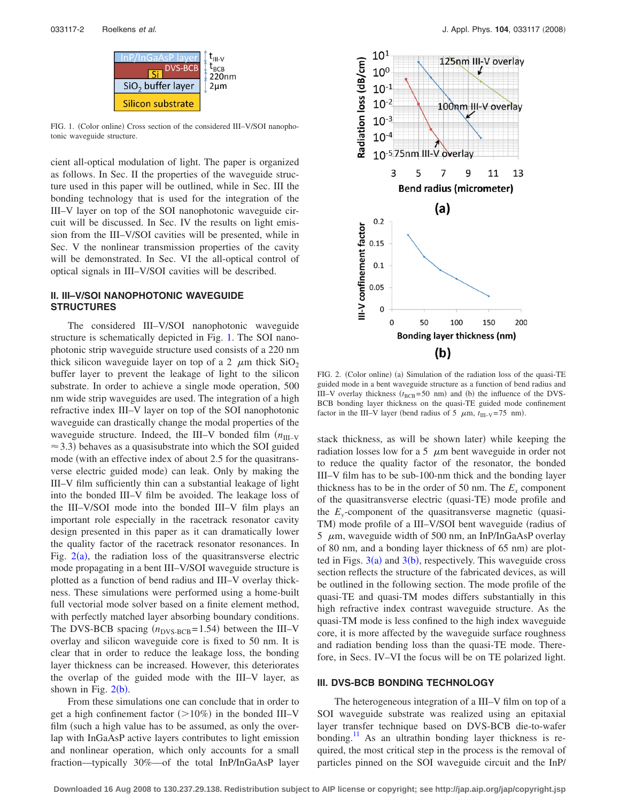<span id="page-1-0"></span>

FIG. 1. (Color online) Cross section of the considered III-V/SOI nanophotonic waveguide structure.

cient all-optical modulation of light. The paper is organized as follows. In Sec. II the properties of the waveguide structure used in this paper will be outlined, while in Sec. III the bonding technology that is used for the integration of the III–V layer on top of the SOI nanophotonic waveguide circuit will be discussed. In Sec. IV the results on light emission from the III–V/SOI cavities will be presented, while in Sec. V the nonlinear transmission properties of the cavity will be demonstrated. In Sec. VI the all-optical control of optical signals in III–V/SOI cavities will be described.

## **II. III–V/SOI NANOPHOTONIC WAVEGUIDE STRUCTURES**

The considered III–V/SOI nanophotonic waveguide structure is schematically depicted in Fig. [1.](#page-1-0) The SOI nanophotonic strip waveguide structure used consists of a 220 nm thick silicon waveguide layer on top of a 2  $\mu$ m thick SiO<sub>2</sub> buffer layer to prevent the leakage of light to the silicon substrate. In order to achieve a single mode operation, 500 nm wide strip waveguides are used. The integration of a high refractive index III–V layer on top of the SOI nanophotonic waveguide can drastically change the modal properties of the waveguide structure. Indeed, the III–V bonded film  $(n_{\text{III-V}})$  $\approx$  3.3) behaves as a quasisubstrate into which the SOI guided mode (with an effective index of about 2.5 for the quasitransverse electric guided mode) can leak. Only by making the III–V film sufficiently thin can a substantial leakage of light into the bonded III–V film be avoided. The leakage loss of the III–V/SOI mode into the bonded III–V film plays an important role especially in the racetrack resonator cavity design presented in this paper as it can dramatically lower the quality factor of the racetrack resonator resonances. In Fig.  $2(a)$  $2(a)$ , the radiation loss of the quasitransverse electric mode propagating in a bent III–V/SOI waveguide structure is plotted as a function of bend radius and III–V overlay thickness. These simulations were performed using a home-built full vectorial mode solver based on a finite element method, with perfectly matched layer absorbing boundary conditions. The DVS-BCB spacing  $(n_{\text{DVS-BCB}}=1.54)$  between the III–V overlay and silicon waveguide core is fixed to 50 nm. It is clear that in order to reduce the leakage loss, the bonding layer thickness can be increased. However, this deteriorates the overlap of the guided mode with the III–V layer, as shown in Fig.  $2(b)$  $2(b)$ .

From these simulations one can conclude that in order to get a high confinement factor  $(>10\%)$  in the bonded III–V film (such a high value has to be assumed, as only the overlap with InGaAsP active layers contributes to light emission and nonlinear operation, which only accounts for a small fraction—typically 30%—of the total InP/InGaAsP layer

<span id="page-1-1"></span>

FIG. 2. (Color online) (a) Simulation of the radiation loss of the quasi-TE guided mode in a bent waveguide structure as a function of bend radius and III–V overlay thickness  $(t_{\text{BCB}} = 50 \text{ nm})$  and (b) the influence of the DVS-BCB bonding layer thickness on the quasi-TE guided mode confinement factor in the III–V layer (bend radius of 5  $\mu$ m,  $t_{\text{III-V}}$ =75 nm).

stack thickness, as will be shown later) while keeping the radiation losses low for a 5  $\mu$ m bent waveguide in order not to reduce the quality factor of the resonator, the bonded III–V film has to be sub-100-nm thick and the bonding layer thickness has to be in the order of 50 nm. The  $E<sub>x</sub>$  component of the quasitransverse electric (quasi-TE) mode profile and the  $E_y$ -component of the quasitransverse magnetic (quasi-TM) mode profile of a III-V/SOI bent waveguide (radius of 5  $\mu$ m, waveguide width of 500 nm, an InP/InGaAsP overlay of 80 nm, and a bonding layer thickness of 65 nm) are plotted in Figs.  $3(a)$  $3(a)$  and  $3(b)$ , respectively. This waveguide cross section reflects the structure of the fabricated devices, as will be outlined in the following section. The mode profile of the quasi-TE and quasi-TM modes differs substantially in this high refractive index contrast waveguide structure. As the quasi-TM mode is less confined to the high index waveguide core, it is more affected by the waveguide surface roughness and radiation bending loss than the quasi-TE mode. Therefore, in Secs. IV–VI the focus will be on TE polarized light.

#### **III. DVS-BCB BONDING TECHNOLOGY**

The heterogeneous integration of a III–V film on top of a SOI waveguide substrate was realized using an epitaxial layer transfer technique based on DVS-BCB die-to-wafer bonding.<sup>11</sup> As an ultrathin bonding layer thickness is required, the most critical step in the process is the removal of particles pinned on the SOI waveguide circuit and the InP/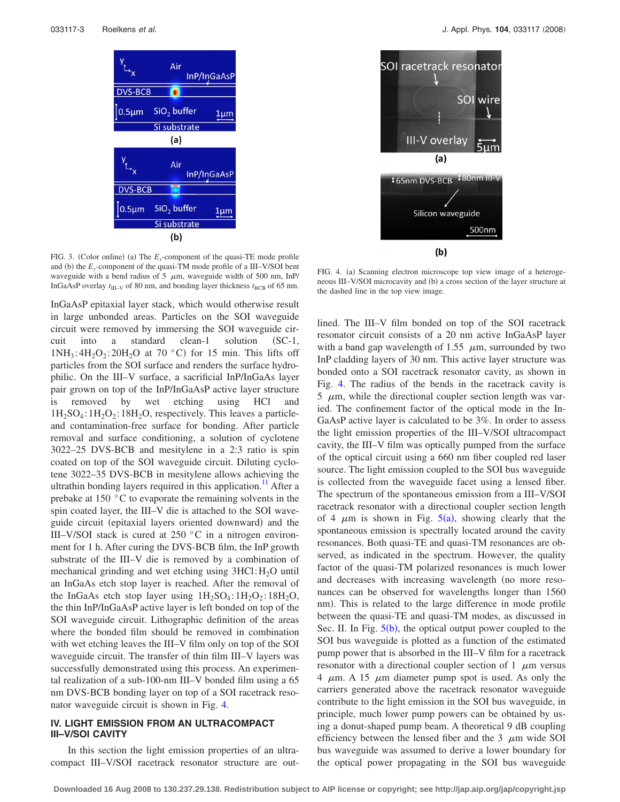<span id="page-2-0"></span>

FIG. 3. (Color online) (a) The  $E_x$ -component of the quasi-TE mode profile and (b) the  $E_y$ -component of the quasi-TM mode profile of a III–V/SOI bent waveguide with a bend radius of 5  $\mu$ m, waveguide width of 500 nm, InP/ InGaAsP overlay  $t_{\text{III-V}}$  of 80 nm, and bonding layer thickness  $t_{\text{BCB}}$  of 65 nm.

InGaAsP epitaxial layer stack, which would otherwise result in large unbonded areas. Particles on the SOI waveguide circuit were removed by immersing the SOI waveguide circuit into a standard clean-1 solution (SC-1,  $1NH_3$ :  $4H_2O_2$ :  $20H_2O$  at  $70 °C$  for 15 min. This lifts off particles from the SOI surface and renders the surface hydrophilic. On the III–V surface, a sacrificial InP/InGaAs layer pair grown on top of the InP/InGaAsP active layer structure is removed by wet etching using HCl and  $1H_2SO_4$ :  $1H_2O_2$ :  $18H_2O$ , respectively. This leaves a particleand contamination-free surface for bonding. After particle removal and surface conditioning, a solution of cyclotene 3022–25 DVS-BCB and mesitylene in a 2:3 ratio is spin coated on top of the SOI waveguide circuit. Diluting cyclotene 3022–35 DVS-BCB in mesitylene allows achieving the ultrathin bonding layers required in this application.<sup>11</sup> After a prebake at 150 °C to evaporate the remaining solvents in the spin coated layer, the III–V die is attached to the SOI waveguide circuit (epitaxial layers oriented downward) and the III–V/SOI stack is cured at 250 °C in a nitrogen environment for 1 h. After curing the DVS-BCB film, the InP growth substrate of the III–V die is removed by a combination of mechanical grinding and wet etching using  $3HCl:H<sub>2</sub>O$  until an InGaAs etch stop layer is reached. After the removal of the InGaAs etch stop layer using  $1H_2SO_4:1H_2O_2:18H_2O$ , the thin InP/InGaAsP active layer is left bonded on top of the SOI waveguide circuit. Lithographic definition of the areas where the bonded film should be removed in combination with wet etching leaves the III–V film only on top of the SOI waveguide circuit. The transfer of thin film III–V layers was successfully demonstrated using this process. An experimental realization of a sub-100-nm III–V bonded film using a 65 nm DVS-BCB bonding layer on top of a SOI racetrack resonator waveguide circuit is shown in Fig. [4.](#page-2-1)

### **IV. LIGHT EMISSION FROM AN ULTRACOMPACT III–V/SOI CAVITY**

In this section the light emission properties of an ultracompact III–V/SOI racetrack resonator structure are out-

<span id="page-2-1"></span>

FIG. 4. (a) Scanning electron microscope top view image of a heterogeneous III-V/SOI microcavity and (b) a cross section of the layer structure at the dashed line in the top view image.

lined. The III–V film bonded on top of the SOI racetrack resonator circuit consists of a 20 nm active InGaAsP layer with a band gap wavelength of 1.55  $\mu$ m, surrounded by two InP cladding layers of 30 nm. This active layer structure was bonded onto a SOI racetrack resonator cavity, as shown in Fig. [4.](#page-2-1) The radius of the bends in the racetrack cavity is  $5 \mu$ m, while the directional coupler section length was varied. The confinement factor of the optical mode in the In-GaAsP active layer is calculated to be 3%. In order to assess the light emission properties of the III–V/SOI ultracompact cavity, the III–V film was optically pumped from the surface of the optical circuit using a 660 nm fiber coupled red laser source. The light emission coupled to the SOI bus waveguide is collected from the waveguide facet using a lensed fiber. The spectrum of the spontaneous emission from a III–V/SOI racetrack resonator with a directional coupler section length of 4  $\mu$ m is shown in Fig. [5](#page-3-0)(a), showing clearly that the spontaneous emission is spectrally located around the cavity resonances. Both quasi-TE and quasi-TM resonances are observed, as indicated in the spectrum. However, the quality factor of the quasi-TM polarized resonances is much lower and decreases with increasing wavelength (no more resonances can be observed for wavelengths longer than 1560 nm). This is related to the large difference in mode profile between the quasi-TE and quasi-TM modes, as discussed in Sec. II. In Fig.  $5(b)$  $5(b)$ , the optical output power coupled to the SOI bus waveguide is plotted as a function of the estimated pump power that is absorbed in the III–V film for a racetrack resonator with a directional coupler section of 1  $\mu$ m versus 4  $\mu$ m. A 15  $\mu$ m diameter pump spot is used. As only the carriers generated above the racetrack resonator waveguide contribute to the light emission in the SOI bus waveguide, in principle, much lower pump powers can be obtained by using a donut-shaped pump beam. A theoretical 9 dB coupling efficiency between the lensed fiber and the 3  $\mu$ m wide SOI bus waveguide was assumed to derive a lower boundary for the optical power propagating in the SOI bus waveguide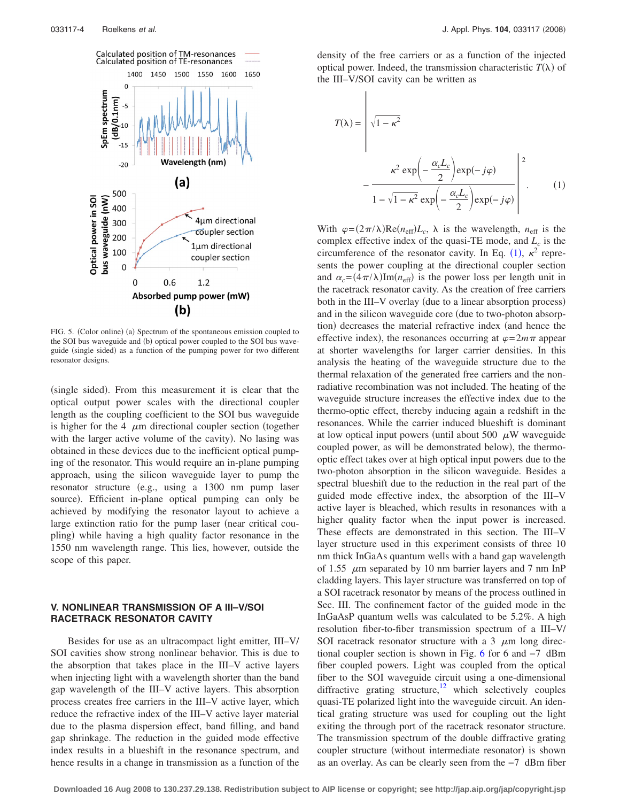<span id="page-3-0"></span>

FIG. 5. (Color online) (a) Spectrum of the spontaneous emission coupled to the SOI bus waveguide and (b) optical power coupled to the SOI bus waveguide (single sided) as a function of the pumping power for two different resonator designs.

(single sided). From this measurement it is clear that the optical output power scales with the directional coupler length as the coupling coefficient to the SOI bus waveguide is higher for the 4  $\mu$ m directional coupler section (together with the larger active volume of the cavity). No lasing was obtained in these devices due to the inefficient optical pumping of the resonator. This would require an in-plane pumping approach, using the silicon waveguide layer to pump the resonator structure (e.g., using a 1300 nm pump laser source). Efficient in-plane optical pumping can only be achieved by modifying the resonator layout to achieve a large extinction ratio for the pump laser (near critical coupling) while having a high quality factor resonance in the 1550 nm wavelength range. This lies, however, outside the scope of this paper.

### **V. NONLINEAR TRANSMISSION OF A III–V/SOI RACETRACK RESONATOR CAVITY**

Besides for use as an ultracompact light emitter, III–V/ SOI cavities show strong nonlinear behavior. This is due to the absorption that takes place in the III–V active layers when injecting light with a wavelength shorter than the band gap wavelength of the III–V active layers. This absorption process creates free carriers in the III–V active layer, which reduce the refractive index of the III–V active layer material due to the plasma dispersion effect, band filling, and band gap shrinkage. The reduction in the guided mode effective index results in a blueshift in the resonance spectrum, and hence results in a change in transmission as a function of the

density of the free carriers or as a function of the injected optical power. Indeed, the transmission characteristic  $T(\lambda)$  of the III–V/SOI cavity can be written as

<span id="page-3-1"></span>
$$
T(\lambda) = \sqrt{1 - \kappa^2}
$$
  

$$
-\frac{\kappa^2 \exp\left(-\frac{\alpha_c L_c}{2}\right) \exp(-j\varphi)}{1 - \sqrt{1 - \kappa^2} \exp\left(-\frac{\alpha_c L_c}{2}\right) \exp(-j\varphi)}
$$
 $\left(\frac{1}{2}\right)$ 

With  $\varphi = (2\pi/\lambda) \text{Re}(n_{\text{eff}}) L_c$ ,  $\lambda$  is the wavelength,  $n_{\text{eff}}$  is the complex effective index of the quasi-TE mode, and  $L_c$  is the circumference of the resonator cavity. In Eq. ([1](#page-3-1)),  $\kappa^2$  represents the power coupling at the directional coupler section and  $\alpha_c = (4\pi/\lambda) \text{Im}(n_{\text{eff}})$  is the power loss per length unit in the racetrack resonator cavity. As the creation of free carriers both in the III–V overlay (due to a linear absorption process) and in the silicon waveguide core (due to two-photon absorption) decreases the material refractive index (and hence the effective index), the resonances occurring at  $\varphi = 2m\pi$  appear at shorter wavelengths for larger carrier densities. In this analysis the heating of the waveguide structure due to the thermal relaxation of the generated free carriers and the nonradiative recombination was not included. The heating of the waveguide structure increases the effective index due to the thermo-optic effect, thereby inducing again a redshift in the resonances. While the carrier induced blueshift is dominant at low optical input powers (until about 500  $\mu$ W waveguide coupled power, as will be demonstrated below), the thermooptic effect takes over at high optical input powers due to the two-photon absorption in the silicon waveguide. Besides a spectral blueshift due to the reduction in the real part of the guided mode effective index, the absorption of the III–V active layer is bleached, which results in resonances with a higher quality factor when the input power is increased. These effects are demonstrated in this section. The III–V layer structure used in this experiment consists of three 10 nm thick InGaAs quantum wells with a band gap wavelength of 1.55  $\mu$ m separated by 10 nm barrier layers and 7 nm InP cladding layers. This layer structure was transferred on top of a SOI racetrack resonator by means of the process outlined in Sec. III. The confinement factor of the guided mode in the InGaAsP quantum wells was calculated to be 5.2%. A high resolution fiber-to-fiber transmission spectrum of a III–V/ SOI racetrack resonator structure with a 3  $\mu$ m long directional coupler section is shown in Fig. [6](#page-4-0) for 6 and −7 dBm fiber coupled powers. Light was coupled from the optical fiber to the SOI waveguide circuit using a one-dimensional diffractive grating structure, $12$  which selectively couples quasi-TE polarized light into the waveguide circuit. An identical grating structure was used for coupling out the light exiting the through port of the racetrack resonator structure. The transmission spectrum of the double diffractive grating coupler structure (without intermediate resonator) is shown as an overlay. As can be clearly seen from the −7 dBm fiber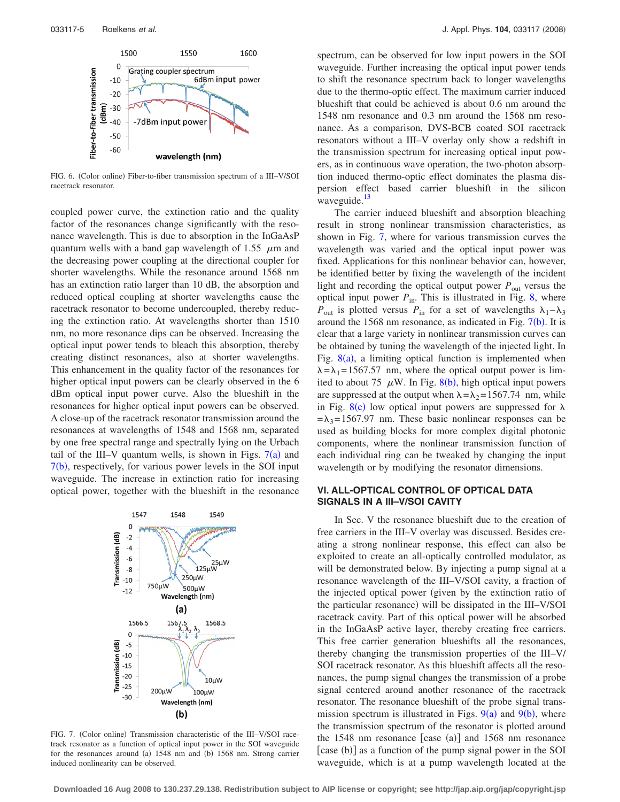<span id="page-4-0"></span>

FIG. 6. (Color online) Fiber-to-fiber transmission spectrum of a III-V/SOI racetrack resonator.

coupled power curve, the extinction ratio and the quality factor of the resonances change significantly with the resonance wavelength. This is due to absorption in the InGaAsP quantum wells with a band gap wavelength of 1.55  $\mu$ m and the decreasing power coupling at the directional coupler for shorter wavelengths. While the resonance around 1568 nm has an extinction ratio larger than 10 dB, the absorption and reduced optical coupling at shorter wavelengths cause the racetrack resonator to become undercoupled, thereby reducing the extinction ratio. At wavelengths shorter than 1510 nm, no more resonance dips can be observed. Increasing the optical input power tends to bleach this absorption, thereby creating distinct resonances, also at shorter wavelengths. This enhancement in the quality factor of the resonances for higher optical input powers can be clearly observed in the 6 dBm optical input power curve. Also the blueshift in the resonances for higher optical input powers can be observed. A close-up of the racetrack resonator transmission around the resonances at wavelengths of 1548 and 1568 nm, separated by one free spectral range and spectrally lying on the Urbach tail of the III–V quantum wells, is shown in Figs.  $7(a)$  $7(a)$  and [7](#page-4-1)(b), respectively, for various power levels in the SOI input waveguide. The increase in extinction ratio for increasing optical power, together with the blueshift in the resonance

<span id="page-4-1"></span>

FIG. 7. (Color online) Transmission characteristic of the III-V/SOI racetrack resonator as a function of optical input power in the SOI waveguide for the resonances around (a) 1548 nm and (b) 1568 nm. Strong carrier induced nonlinearity can be observed.

spectrum, can be observed for low input powers in the SOI waveguide. Further increasing the optical input power tends to shift the resonance spectrum back to longer wavelengths due to the thermo-optic effect. The maximum carrier induced blueshift that could be achieved is about 0.6 nm around the 1548 nm resonance and 0.3 nm around the 1568 nm resonance. As a comparison, DVS-BCB coated SOI racetrack resonators without a III–V overlay only show a redshift in the transmission spectrum for increasing optical input powers, as in continuous wave operation, the two-photon absorption induced thermo-optic effect dominates the plasma dispersion effect based carrier blueshift in the silicon waveguide.<sup>13</sup>

The carrier induced blueshift and absorption bleaching result in strong nonlinear transmission characteristics, as shown in Fig. [7,](#page-4-1) where for various transmission curves the wavelength was varied and the optical input power was fixed. Applications for this nonlinear behavior can, however, be identified better by fixing the wavelength of the incident light and recording the optical output power  $P_{\text{out}}$  versus the optical input power  $P_{\text{in}}$ . This is illustrated in Fig. [8,](#page-5-2) where  $P_{\text{out}}$  is plotted versus  $P_{\text{in}}$  for a set of wavelengths  $\lambda_1 - \lambda_3$ around the 1568 nm resonance, as indicated in Fig.  $7(b)$  $7(b)$ . It is clear that a large variety in nonlinear transmission curves can be obtained by tuning the wavelength of the injected light. In Fig.  $8(a)$  $8(a)$ , a limiting optical function is implemented when  $\lambda = \lambda_1 = 1567.57$  nm, where the optical output power is limited to about 75  $\mu$ W. In Fig. [8](#page-5-2)(b), high optical input powers are suppressed at the output when  $\lambda = \lambda_2 = 1567.74$  nm, while in Fig.  $8(c)$  $8(c)$  low optical input powers are suppressed for  $\lambda$  $=\lambda_3 = 1567.97$  nm. These basic nonlinear responses can be used as building blocks for more complex digital photonic components, where the nonlinear transmission function of each individual ring can be tweaked by changing the input wavelength or by modifying the resonator dimensions.

## **VI. ALL-OPTICAL CONTROL OF OPTICAL DATA SIGNALS IN A III–V/SOI CAVITY**

In Sec. V the resonance blueshift due to the creation of free carriers in the III–V overlay was discussed. Besides creating a strong nonlinear response, this effect can also be exploited to create an all-optically controlled modulator, as will be demonstrated below. By injecting a pump signal at a resonance wavelength of the III–V/SOI cavity, a fraction of the injected optical power given by the extinction ratio of the particular resonance) will be dissipated in the III–V/SOI racetrack cavity. Part of this optical power will be absorbed in the InGaAsP active layer, thereby creating free carriers. This free carrier generation blueshifts all the resonances, thereby changing the transmission properties of the III–V/ SOI racetrack resonator. As this blueshift affects all the resonances, the pump signal changes the transmission of a probe signal centered around another resonance of the racetrack resonator. The resonance blueshift of the probe signal transmission spectrum is illustrated in Figs.  $9(a)$  $9(a)$  and  $9(b)$ , where the transmission spectrum of the resonator is plotted around the  $1548$  nm resonance [case (a)] and  $1568$  nm resonance [case (b)] as a function of the pump signal power in the SOI waveguide, which is at a pump wavelength located at the

**Downloaded 16 Aug 2008 to 130.237.29.138. Redistribution subject to AIP license or copyright; see http://jap.aip.org/jap/copyright.jsp**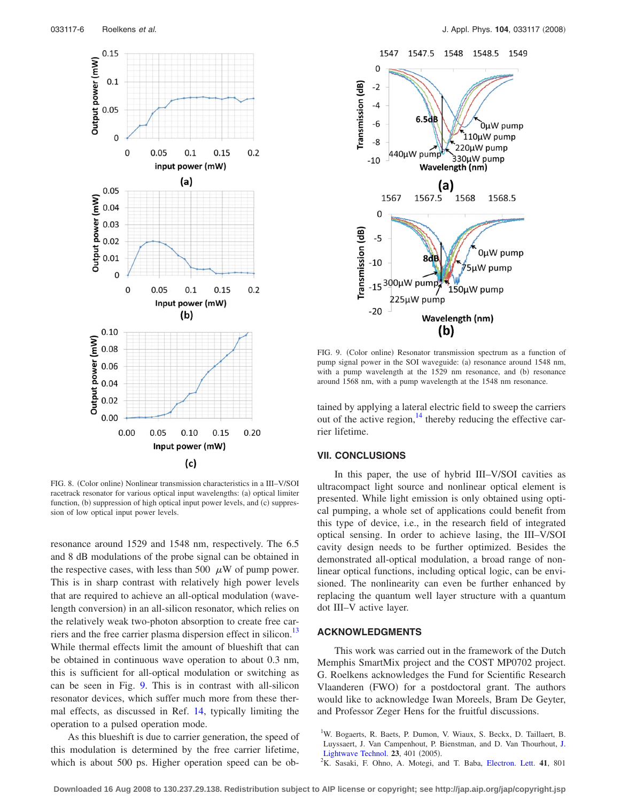<span id="page-5-2"></span>

FIG. 8. (Color online) Nonlinear transmission characteristics in a III-V/SOI racetrack resonator for various optical input wavelengths: (a) optical limiter function, (b) suppression of high optical input power levels, and (c) suppression of low optical input power levels.

resonance around 1529 and 1548 nm, respectively. The 6.5 and 8 dB modulations of the probe signal can be obtained in the respective cases, with less than 500  $\mu$ W of pump power. This is in sharp contrast with relatively high power levels that are required to achieve an all-optical modulation (wavelength conversion) in an all-silicon resonator, which relies on the relatively weak two-photon absorption to create free carriers and the free carrier plasma dispersion effect in silicon.<sup>13</sup> While thermal effects limit the amount of blueshift that can be obtained in continuous wave operation to about 0.3 nm, this is sufficient for all-optical modulation or switching as can be seen in Fig. [9.](#page-5-3) This is in contrast with all-silicon resonator devices, which suffer much more from these thermal effects, as discussed in Ref. [14,](#page-6-11) typically limiting the operation to a pulsed operation mode.

As this blueshift is due to carrier generation, the speed of this modulation is determined by the free carrier lifetime, which is about 500 ps. Higher operation speed can be ob-

<span id="page-5-3"></span>

FIG. 9. (Color online) Resonator transmission spectrum as a function of pump signal power in the SOI waveguide: (a) resonance around 1548 nm, with a pump wavelength at the 1529 nm resonance, and (b) resonance around 1568 nm, with a pump wavelength at the 1548 nm resonance.

tained by applying a lateral electric field to sweep the carriers out of the active region, $^{14}$  thereby reducing the effective carrier lifetime.

#### **VII. CONCLUSIONS**

In this paper, the use of hybrid III–V/SOI cavities as ultracompact light source and nonlinear optical element is presented. While light emission is only obtained using optical pumping, a whole set of applications could benefit from this type of device, i.e., in the research field of integrated optical sensing. In order to achieve lasing, the III–V/SOI cavity design needs to be further optimized. Besides the demonstrated all-optical modulation, a broad range of nonlinear optical functions, including optical logic, can be envisioned. The nonlinearity can even be further enhanced by replacing the quantum well layer structure with a quantum dot III–V active layer.

# **ACKNOWLEDGMENTS**

This work was carried out in the framework of the Dutch Memphis SmartMix project and the COST MP0702 project. G. Roelkens acknowledges the Fund for Scientific Research Vlaanderen (FWO) for a postdoctoral grant. The authors would like to acknowledge Iwan Moreels, Bram De Geyter, and Professor Zeger Hens for the fruitful discussions.

<span id="page-5-1"></span><sup>2</sup>K. Sasaki, F. Ohno, A. Motegi, and T. Baba, [Electron. Lett.](http://dx.doi.org/10.1049/el:20051541) 41, 801

<span id="page-5-0"></span><sup>&</sup>lt;sup>1</sup>W. Bogaerts, R. Baets, P. Dumon, V. Wiaux, S. Beckx, D. Taillaert, B. Luyssaert, J. Van Campenhout, P. Bienstman, and D. Van Thourhout, [J.](http://dx.doi.org/10.1109/JLT.2004.834471) [Lightwave Technol.](http://dx.doi.org/10.1109/JLT.2004.834471) **23**, 401 (2005).<br><sup>2</sup>K, Sasaki, E. Ohno, A. Motori, 22